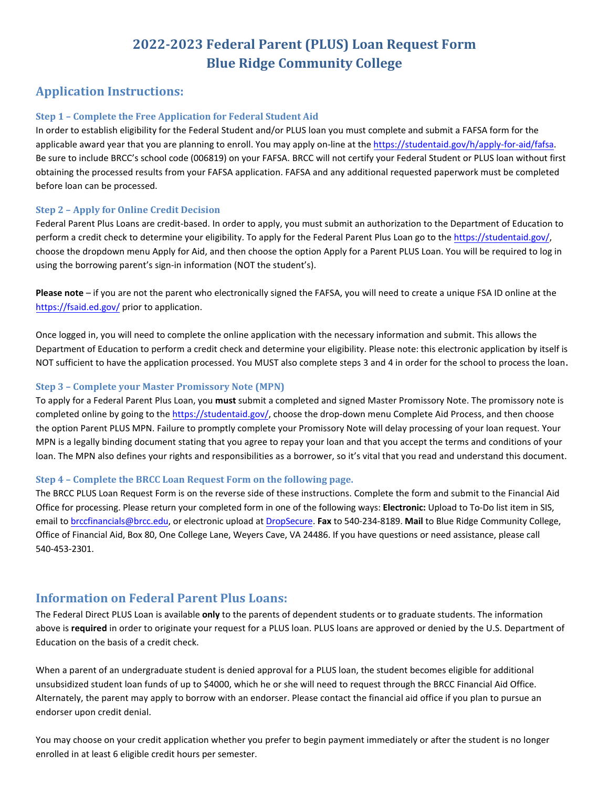# **2022-2023 Federal Parent (PLUS) Loan Request Form Blue Ridge Community College**

# **Application Instructions:**

### **Step 1 – Complete the Free Application for Federal Student Aid**

In order to establish eligibility for the Federal Student and/or PLUS loan you must complete and submit a FAFSA form for the applicable award year that you are planning to enroll. You may apply on-line at the [https://studentaid.gov/h/apply-for-aid/fafsa.](https://studentaid.gov/h/apply-for-aid/fafsa) Be sure to include BRCC's school code (006819) on your FAFSA. BRCC will not certify your Federal Student or PLUS loan without first obtaining the processed results from your FAFSA application. FAFSA and any additional requested paperwork must be completed before loan can be processed.

#### **Step 2 – Apply for Online Credit Decision**

 choose the dropdown menu Apply for Aid, and then choose the option Apply for a Parent PLUS Loan. You will be required to log in Federal Parent Plus Loans are credit-based. In order to apply, you must submit an authorization to the Department of Education to perform a credit check to determine your eligibility. To apply for the Federal Parent Plus Loan go to the [https://studentaid.gov/,](https://studentaid.gov/) using the borrowing parent's sign-in information (NOT the student's).

 **Please note** – if you are not the parent who electronically signed the FAFSA, you will need to create a unique FSA ID online at the <https://fsaid.ed.gov/> prior to application.

Once logged in, you will need to complete the online application with the necessary information and submit. This allows the Department of Education to perform a credit check and determine your eligibility. Please note: this electronic application by itself is NOT sufficient to have the application processed. You MUST also complete steps 3 and 4 in order for the school to process the loan.

#### **Step 3 – Complete your Master Promissory Note (MPN)**

completed online by going to the [https://studentaid.gov/,](https://studentaid.gov/) choose the drop-down menu Complete Aid Process, and then choose To apply for a Federal Parent Plus Loan, you **must** submit a completed and signed Master Promissory Note. The promissory note is the option Parent PLUS MPN. Failure to promptly complete your Promissory Note will delay processing of your loan request. Your MPN is a legally binding document stating that you agree to repay your loan and that you accept the terms and conditions of your loan. The MPN also defines your rights and responsibilities as a borrower, so it's vital that you read and understand this document.

#### **Step 4 – Complete the BRCC Loan Request Form on the following page.**

The BRCC PLUS Loan Request Form is on the reverse side of these instructions. Complete the form and submit to the Financial Aid Office for processing. Please return your completed form in one of the following ways: **Electronic:** Upload to To-Do list item in SIS, email to [brccfinancials@brcc.edu](mailto:brccfinancials@brcc.edu), or electronic upload at [DropSecure.](https://brcc.dropsecure.com/send/fadocs) **Fax** to 540-234-8189. **Mail** to Blue Ridge Community College, Office of Financial Aid, Box 80, One College Lane, Weyers Cave, VA 24486. If you have questions or need assistance, please call 540-453-2301.

### **Information on Federal Parent Plus Loans:**

The Federal Direct PLUS Loan is available **only** to the parents of dependent students or to graduate students. The information above is **required** in order to originate your request for a PLUS loan. PLUS loans are approved or denied by the U.S. Department of Education on the basis of a credit check.

When a parent of an undergraduate student is denied approval for a PLUS loan, the student becomes eligible for additional unsubsidized student loan funds of up to \$4000, which he or she will need to request through the BRCC Financial Aid Office. Alternately, the parent may apply to borrow with an endorser. Please contact the financial aid office if you plan to pursue an endorser upon credit denial.

You may choose on your credit application whether you prefer to begin payment immediately or after the student is no longer enrolled in at least 6 eligible credit hours per semester.